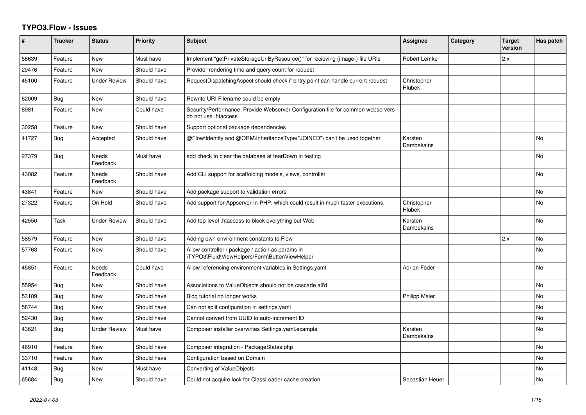## **TYPO3.Flow - Issues**

| #     | <b>Tracker</b> | <b>Status</b>            | <b>Priority</b> | <b>Subject</b>                                                                                             | Assignee              | Category | <b>Target</b><br>version | Has patch |
|-------|----------------|--------------------------|-----------------|------------------------------------------------------------------------------------------------------------|-----------------------|----------|--------------------------|-----------|
| 56639 | Feature        | <b>New</b>               | Must have       | Implement "getPrivateStorageUriByResource()" for recieving (image-) file URIs                              | Robert Lemke          |          | 2.x                      |           |
| 29476 | Feature        | New                      | Should have     | Provider rendering time and query count for request                                                        |                       |          |                          |           |
| 45100 | Feature        | <b>Under Review</b>      | Should have     | RequestDispatchingAspect should check if entry point can handle current request                            | Christopher<br>Hlubek |          |                          |           |
| 62009 | Bug            | <b>New</b>               | Should have     | Rewrite URI Filename could be empty                                                                        |                       |          |                          |           |
| 8981  | Feature        | New                      | Could have      | Security/Performance: Provide Webserver Configuration file for common webservers -<br>do not use .htaccess |                       |          |                          |           |
| 30258 | Feature        | <b>New</b>               | Should have     | Support optional package dependencies                                                                      |                       |          |                          |           |
| 41727 | Bug            | Accepted                 | Should have     | @Flow\Identity and @ORM\InheritanceType("JOINED") can't be used together                                   | Karsten<br>Dambekalns |          |                          | <b>No</b> |
| 27379 | Bug            | Needs<br>Feedback        | Must have       | add check to clear the database at tearDown in testing                                                     |                       |          |                          | No        |
| 43082 | Feature        | Needs<br>Feedback        | Should have     | Add CLI support for scaffolding models, views, controller                                                  |                       |          |                          | No        |
| 43841 | Feature        | New                      | Should have     | Add package support to validation errors                                                                   |                       |          |                          | No        |
| 27322 | Feature        | On Hold                  | Should have     | Add support for Appserver-in-PHP, which could result in much faster executions.                            | Christopher<br>Hlubek |          |                          | No        |
| 42550 | Task           | <b>Under Review</b>      | Should have     | Add top-level .htaccess to block everything but Web                                                        | Karsten<br>Dambekalns |          |                          | No        |
| 58579 | Feature        | <b>New</b>               | Should have     | Adding own environment constants to Flow                                                                   |                       |          | 2.x                      | No        |
| 57763 | Feature        | <b>New</b>               | Should have     | Allow controller / package / action as params in<br>\TYPO3\Fluid\ViewHelpers\Form\ButtonViewHelper         |                       |          |                          | No        |
| 45851 | Feature        | <b>Needs</b><br>Feedback | Could have      | Allow referencing environment variables in Settings.yaml                                                   | Adrian Föder          |          |                          | <b>No</b> |
| 55954 | Bug            | <b>New</b>               | Should have     | Associations to ValueObjects should not be cascade all'd                                                   |                       |          |                          | No        |
| 53189 | Bug            | <b>New</b>               | Should have     | Blog tutorial no longer works                                                                              | <b>Philipp Maier</b>  |          |                          | <b>No</b> |
| 58744 | Bug            | <b>New</b>               | Should have     | Can not split configuration in settings.yaml                                                               |                       |          |                          | <b>No</b> |
| 52430 | Bug            | <b>New</b>               | Should have     | Cannot convert from UUID to auto-increment ID                                                              |                       |          |                          | No        |
| 43621 | Bug            | <b>Under Review</b>      | Must have       | Composer installer overwrites Settings.yaml.example                                                        | Karsten<br>Dambekalns |          |                          | <b>No</b> |
| 46910 | Feature        | <b>New</b>               | Should have     | Composer integration - PackageStates.php                                                                   |                       |          |                          | <b>No</b> |
| 33710 | Feature        | New                      | Should have     | Configuration based on Domain                                                                              |                       |          |                          | No        |
| 41148 | Bug            | New                      | Must have       | Converting of ValueObjects                                                                                 |                       |          |                          | No        |
| 65684 | Bug            | <b>New</b>               | Should have     | Could not acquire lock for ClassLoader cache creation                                                      | Sebastian Heuer       |          |                          | No        |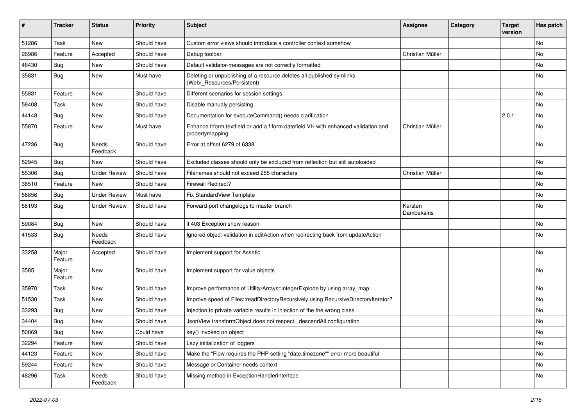| ∦     | <b>Tracker</b>   | <b>Status</b>            | <b>Priority</b> | <b>Subject</b>                                                                                        | <b>Assignee</b>       | Category | <b>Target</b><br>version | Has patch                    |
|-------|------------------|--------------------------|-----------------|-------------------------------------------------------------------------------------------------------|-----------------------|----------|--------------------------|------------------------------|
| 51286 | Task             | <b>New</b>               | Should have     | Custom error views should introduce a controller context somehow                                      |                       |          |                          | No                           |
| 26986 | Feature          | Accepted                 | Should have     | Debug toolbar                                                                                         | Christian Müller      |          |                          | No                           |
| 48430 | <b>Bug</b>       | New                      | Should have     | Default validator-messages are not correctly formatted                                                |                       |          |                          | No                           |
| 35831 | Bug              | New                      | Must have       | Deleting or unpublishing of a resource deletes all published symlinks<br>(Web/_Resources/Persistent)  |                       |          |                          | No                           |
| 55831 | Feature          | <b>New</b>               | Should have     | Different scenarios for session settings                                                              |                       |          |                          | <b>No</b>                    |
| 58408 | Task             | New                      | Should have     | Disable manualy persisting                                                                            |                       |          |                          | No                           |
| 44148 | <b>Bug</b>       | New                      | Should have     | Documentation for executeCommand() needs clarification                                                |                       |          | 2.0.1                    | No                           |
| 55870 | Feature          | New                      | Must have       | Enhance f:form.textfield or add a f:form.datefield VH with enhanced validation and<br>propertymapping | Christian Müller      |          |                          | No                           |
| 47236 | <b>Bug</b>       | Needs<br>Feedback        | Should have     | Error at offset 6279 of 6338                                                                          |                       |          |                          | No                           |
| 52945 | Bug              | New                      | Should have     | Excluded classes should only be excluded from reflection but still autoloaded                         |                       |          |                          | No                           |
| 55306 | Bug              | <b>Under Review</b>      | Should have     | Filenames should not exceed 255 characters                                                            | Christian Müller      |          |                          | <b>No</b>                    |
| 36510 | Feature          | New                      | Should have     | <b>Firewall Redirect?</b>                                                                             |                       |          |                          | No                           |
| 56856 | <b>Bug</b>       | <b>Under Review</b>      | Must have       | Fix StandardView Template                                                                             |                       |          |                          | No                           |
| 58193 | Bug              | <b>Under Review</b>      | Should have     | Forward-port changelogs to master branch                                                              | Karsten<br>Dambekalns |          |                          | No                           |
| 59084 | Bug              | New                      | Should have     | if 403 Exception show reason                                                                          |                       |          |                          | No                           |
| 41533 | <b>Bug</b>       | <b>Needs</b><br>Feedback | Should have     | Ignored object-validation in editAction when redirecting back from updateAction                       |                       |          |                          | <b>No</b>                    |
| 33258 | Major<br>Feature | Accepted                 | Should have     | Implement support for Assetic                                                                         |                       |          |                          | <b>No</b>                    |
| 3585  | Major<br>Feature | <b>New</b>               | Should have     | Implement support for value objects                                                                   |                       |          |                          | No                           |
| 35970 | Task             | <b>New</b>               | Should have     | Improve performance of Utility/Arrays::integerExplode by using array map                              |                       |          |                          | No                           |
| 51530 | Task             | New                      | Should have     | Improve speed of Files::readDirectoryRecursively using RecursiveDirectoryIterator?                    |                       |          |                          | No                           |
| 33293 | Bug              | New                      | Should have     | Injection to private variable results in injection of the the wrong class                             |                       |          |                          | <b>No</b>                    |
| 34404 | <b>Bug</b>       | New                      | Should have     | JsonView transformObject does not respect _descendAll configuration                                   |                       |          |                          | No                           |
| 50869 | <b>Bug</b>       | New                      | Could have      | key() invoked on object                                                                               |                       |          |                          | $\operatorname{\mathsf{No}}$ |
| 32294 | Feature          | New                      | Should have     | Lazy initialization of loggers                                                                        |                       |          |                          | No                           |
| 44123 | Feature          | New                      | Should have     | Make the "Flow requires the PHP setting "date.timezone"" error more beautiful                         |                       |          |                          | No                           |
| 59244 | Feature          | New                      | Should have     | Message or Container needs context                                                                    |                       |          |                          | No                           |
| 48296 | Task             | Needs<br>Feedback        | Should have     | Missing method in ExceptionHandlerInterface                                                           |                       |          |                          | No                           |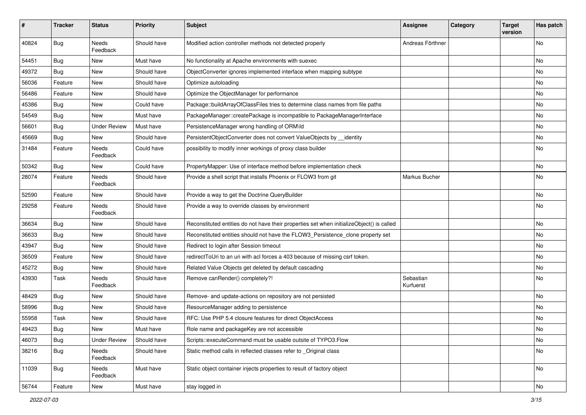| #     | <b>Tracker</b> | <b>Status</b>            | <b>Priority</b> | Subject                                                                                   | Assignee               | Category | <b>Target</b><br>version | Has patch |
|-------|----------------|--------------------------|-----------------|-------------------------------------------------------------------------------------------|------------------------|----------|--------------------------|-----------|
| 40824 | <b>Bug</b>     | Needs<br>Feedback        | Should have     | Modified action controller methods not detected properly                                  | Andreas Förthner       |          |                          | No        |
| 54451 | Bug            | New                      | Must have       | No functionality at Apache environments with suexec                                       |                        |          |                          | No        |
| 49372 | <b>Bug</b>     | <b>New</b>               | Should have     | ObjectConverter ignores implemented interface when mapping subtype                        |                        |          |                          | No        |
| 56036 | Feature        | New                      | Should have     | Optimize autoloading                                                                      |                        |          |                          | No        |
| 56486 | Feature        | New                      | Should have     | Optimize the ObjectManager for performance                                                |                        |          |                          | <b>No</b> |
| 45386 | <b>Bug</b>     | New                      | Could have      | Package::buildArrayOfClassFiles tries to determine class names from file paths            |                        |          |                          | No        |
| 54549 | Bug            | New                      | Must have       | PackageManager::createPackage is incompatible to PackageManagerInterface                  |                        |          |                          | No        |
| 56601 | <b>Bug</b>     | <b>Under Review</b>      | Must have       | PersistenceManager wrong handling of ORM\ld                                               |                        |          |                          | No        |
| 45669 | <b>Bug</b>     | New                      | Should have     | PersistentObjectConverter does not convert ValueObjects by _identity                      |                        |          |                          | No        |
| 31484 | Feature        | Needs<br>Feedback        | Could have      | possibility to modify inner workings of proxy class builder                               |                        |          |                          | No        |
| 50342 | <b>Bug</b>     | New                      | Could have      | PropertyMapper: Use of interface method before implementation check                       |                        |          |                          | No        |
| 28074 | Feature        | <b>Needs</b><br>Feedback | Should have     | Provide a shell script that installs Phoenix or FLOW3 from git                            | Markus Bucher          |          |                          | No        |
| 52590 | Feature        | New                      | Should have     | Provide a way to get the Doctrine QueryBuilder                                            |                        |          |                          | No        |
| 29258 | Feature        | Needs<br>Feedback        | Should have     | Provide a way to override classes by environment                                          |                        |          |                          | No        |
| 36634 | <b>Bug</b>     | <b>New</b>               | Should have     | Reconstituted entities do not have their properties set when initializeObject() is called |                        |          |                          | No        |
| 36633 | <b>Bug</b>     | New                      | Should have     | Reconstituted entities should not have the FLOW3_Persistence_clone property set           |                        |          |                          | No        |
| 43947 | <b>Bug</b>     | New                      | Should have     | Redirect to login after Session timeout                                                   |                        |          |                          | No        |
| 36509 | Feature        | New                      | Should have     | redirectToUri to an uri with acl forces a 403 because of missing csrf token.              |                        |          |                          | No        |
| 45272 | <b>Bug</b>     | New                      | Should have     | Related Value Objects get deleted by default cascading                                    |                        |          |                          | No        |
| 43930 | Task           | Needs<br>Feedback        | Should have     | Remove canRender() completely?!                                                           | Sebastian<br>Kurfuerst |          |                          | No        |
| 48429 | <b>Bug</b>     | New                      | Should have     | Remove- and update-actions on repository are not persisted                                |                        |          |                          | No        |
| 58996 | <b>Bug</b>     | New                      | Should have     | ResourceManager adding to persistence                                                     |                        |          |                          | No        |
| 55958 | Task           | New                      | Should have     | RFC: Use PHP 5.4 closure features for direct ObjectAccess                                 |                        |          |                          | No        |
| 49423 | Bug            | New                      | Must have       | Role name and packageKey are not accessible                                               |                        |          |                          | No        |
| 46073 | Bug            | <b>Under Review</b>      | Should have     | Scripts::executeCommand must be usable outsite of TYPO3.Flow                              |                        |          |                          | No        |
| 38216 | <b>Bug</b>     | Needs<br>Feedback        | Should have     | Static method calls in reflected classes refer to _Original class                         |                        |          |                          | No        |
| 11039 | <b>Bug</b>     | Needs<br>Feedback        | Must have       | Static object container injects properties to result of factory object                    |                        |          |                          | No        |
| 56744 | Feature        | New                      | Must have       | stay logged in                                                                            |                        |          |                          | No        |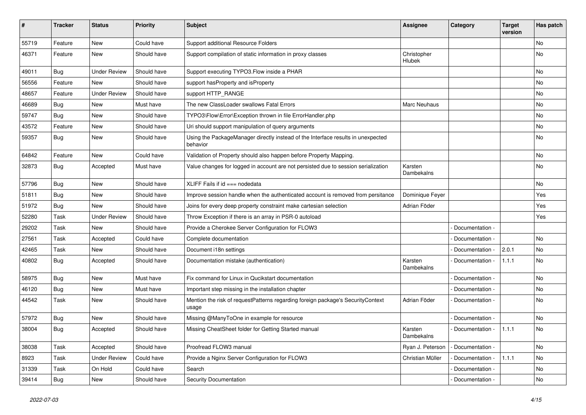| $\pmb{\#}$ | <b>Tracker</b> | <b>Status</b>       | <b>Priority</b> | <b>Subject</b>                                                                               | <b>Assignee</b>       | Category        | <b>Target</b><br>version | Has patch |
|------------|----------------|---------------------|-----------------|----------------------------------------------------------------------------------------------|-----------------------|-----------------|--------------------------|-----------|
| 55719      | Feature        | <b>New</b>          | Could have      | Support additional Resource Folders                                                          |                       |                 |                          | <b>No</b> |
| 46371      | Feature        | New                 | Should have     | Support compilation of static information in proxy classes                                   | Christopher<br>Hlubek |                 |                          | No        |
| 49011      | Bug            | <b>Under Review</b> | Should have     | Support executing TYPO3. Flow inside a PHAR                                                  |                       |                 |                          | No        |
| 56556      | Feature        | New                 | Should have     | support hasProperty and isProperty                                                           |                       |                 |                          | No        |
| 48657      | Feature        | <b>Under Review</b> | Should have     | support HTTP_RANGE                                                                           |                       |                 |                          | No        |
| 46689      | <b>Bug</b>     | New                 | Must have       | The new ClassLoader swallows Fatal Errors                                                    | Marc Neuhaus          |                 |                          | No        |
| 59747      | <b>Bug</b>     | New                 | Should have     | TYPO3\Flow\Error\Exception thrown in file ErrorHandler.php                                   |                       |                 |                          | No        |
| 43572      | Feature        | New                 | Should have     | Uri should support manipulation of query arguments                                           |                       |                 |                          | No        |
| 59357      | <b>Bug</b>     | New                 | Should have     | Using the PackageManager directly instead of the Interface results in unexpected<br>behavior |                       |                 |                          | No        |
| 64842      | Feature        | New                 | Could have      | Validation of Property should also happen before Property Mapping.                           |                       |                 |                          | No        |
| 32873      | <b>Bug</b>     | Accepted            | Must have       | Value changes for logged in account are not persisted due to session serialization           | Karsten<br>Dambekalns |                 |                          | No        |
| 57796      | <b>Bug</b>     | <b>New</b>          | Should have     | XLIFF Fails if id === nodedata                                                               |                       |                 |                          | No        |
| 51811      | <b>Bug</b>     | New                 | Should have     | Improve session handle when the authenticated account is removed from persitance             | Dominique Feyer       |                 |                          | Yes       |
| 51972      | <b>Bug</b>     | <b>New</b>          | Should have     | Joins for every deep property constraint make cartesian selection                            | Adrian Föder          |                 |                          | Yes       |
| 52280      | Task           | <b>Under Review</b> | Should have     | Throw Exception if there is an array in PSR-0 autoload                                       |                       |                 |                          | Yes       |
| 29202      | Task           | New                 | Should have     | Provide a Cherokee Server Configuration for FLOW3                                            |                       | Documentation - |                          |           |
| 27561      | Task           | Accepted            | Could have      | Complete documentation                                                                       |                       | Documentation - |                          | No        |
| 42465      | Task           | New                 | Should have     | Document i18n settings                                                                       |                       | Documentation - | 2.0.1                    | No        |
| 40802      | <b>Bug</b>     | Accepted            | Should have     | Documentation mistake (authentication)                                                       | Karsten<br>Dambekalns | Documentation - | 1.1.1                    | No        |
| 58975      | <b>Bug</b>     | New                 | Must have       | Fix command for Linux in Qucikstart documentation                                            |                       | Documentation - |                          | No        |
| 46120      | <b>Bug</b>     | <b>New</b>          | Must have       | Important step missing in the installation chapter                                           |                       | Documentation - |                          | No        |
| 44542      | Task           | New                 | Should have     | Mention the risk of requestPatterns regarding foreign package's SecurityContext<br>usage     | Adrian Föder          | Documentation - |                          | No        |
| 57972      | <b>Bug</b>     | New                 | Should have     | Missing @ManyToOne in example for resource                                                   |                       | Documentation - |                          | No        |
| 38004      | <b>Bug</b>     | Accepted            | Should have     | Missing CheatSheet folder for Getting Started manual                                         | Karsten<br>Dambekalns | Documentation - | 1.1.1                    | No        |
| 38038      | Task           | Accepted            | Should have     | Proofread FLOW3 manual                                                                       | Ryan J. Peterson      | Documentation - |                          | <b>No</b> |
| 8923       | Task           | <b>Under Review</b> | Could have      | Provide a Nginx Server Configuration for FLOW3                                               | Christian Müller      | Documentation - | 1.1.1                    | No        |
| 31339      | Task           | On Hold             | Could have      | Search                                                                                       |                       | Documentation - |                          | No        |
| 39414      | Bug            | New                 | Should have     | <b>Security Documentation</b>                                                                |                       | Documentation - |                          | No        |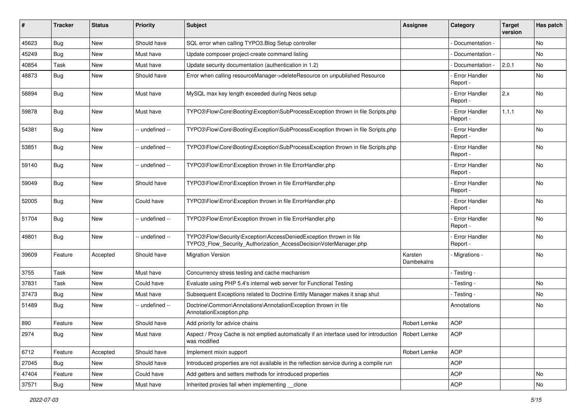| #     | <b>Tracker</b> | <b>Status</b> | <b>Priority</b> | <b>Subject</b>                                                                                                                         | <b>Assignee</b>       | Category                         | <b>Target</b><br>version | Has patch |
|-------|----------------|---------------|-----------------|----------------------------------------------------------------------------------------------------------------------------------------|-----------------------|----------------------------------|--------------------------|-----------|
| 45623 | Bug            | New           | Should have     | SQL error when calling TYPO3.Blog Setup controller                                                                                     |                       | Documentation -                  |                          | <b>No</b> |
| 45249 | <b>Bug</b>     | New           | Must have       | Update composer project-create command listing                                                                                         |                       | Documentation -                  |                          | <b>No</b> |
| 40854 | Task           | New           | Must have       | Update security documentation (authentication in 1.2)                                                                                  |                       | Documentation -                  | 2.0.1                    | No        |
| 48873 | Bug            | New           | Should have     | Error when calling resourceManager->deleteResource on unpublished Resource                                                             |                       | Error Handler<br>Report -        |                          | No        |
| 58894 | Bug            | New           | Must have       | MySQL max key length exceeded during Neos setup                                                                                        |                       | Error Handler<br>Report -        | 2.x                      | <b>No</b> |
| 59878 | <b>Bug</b>     | New           | Must have       | TYPO3\Flow\Core\Booting\Exception\SubProcessException thrown in file Scripts.php                                                       |                       | <b>Error Handler</b><br>Report - | 1.1.1                    | <b>No</b> |
| 54381 | <b>Bug</b>     | New           | -- undefined -- | TYPO3\Flow\Core\Booting\Exception\SubProcessException thrown in file Scripts.php                                                       |                       | Error Handler<br>Report -        |                          | <b>No</b> |
| 53851 | <b>Bug</b>     | New           | -- undefined -- | TYPO3\Flow\Core\Booting\Exception\SubProcessException thrown in file Scripts.php                                                       |                       | Error Handler<br>Report -        |                          | No        |
| 59140 | <b>Bug</b>     | New           | -- undefined -- | TYPO3\Flow\Error\Exception thrown in file ErrorHandler.php                                                                             |                       | Error Handler<br>Report -        |                          | <b>No</b> |
| 59049 | Bug            | New           | Should have     | TYPO3\Flow\Error\Exception thrown in file ErrorHandler.php                                                                             |                       | Error Handler<br>Report -        |                          | <b>No</b> |
| 52005 | Bug            | New           | Could have      | TYPO3\Flow\Error\Exception thrown in file ErrorHandler.php                                                                             |                       | Error Handler<br>Report -        |                          | <b>No</b> |
| 51704 | <b>Bug</b>     | New           | -- undefined -- | TYPO3\Flow\Error\Exception thrown in file ErrorHandler.php                                                                             |                       | Error Handler<br>Report -        |                          | <b>No</b> |
| 49801 | <b>Bug</b>     | New           | -- undefined -- | TYPO3\Flow\Security\Exception\AccessDeniedException thrown in file<br>TYPO3 Flow Security Authorization AccessDecisionVoterManager.php |                       | Error Handler<br>Report -        |                          | No        |
| 39609 | Feature        | Accepted      | Should have     | <b>Migration Version</b>                                                                                                               | Karsten<br>Dambekalns | Migrations -                     |                          | <b>No</b> |
| 3755  | Task           | <b>New</b>    | Must have       | Concurrency stress testing and cache mechanism                                                                                         |                       | - Testing -                      |                          |           |
| 37831 | Task           | New           | Could have      | Evaluate using PHP 5.4's internal web server for Functional Testing                                                                    |                       | - Testing -                      |                          | No        |
| 37473 | Bug            | New           | Must have       | Subsequent Exceptions related to Doctrine Entity Manager makes it snap shut                                                            |                       | - Testing -                      |                          | <b>No</b> |
| 51489 | Bug            | New           | -- undefined -- | Doctrine\Common\Annotations\AnnotationException thrown in file<br>AnnotationException.php                                              |                       | Annotations                      |                          | No        |
| 890   | Feature        | New           | Should have     | Add priority for advice chains                                                                                                         | Robert Lemke          | <b>AOP</b>                       |                          |           |
| 2974  | Bug            | New           | Must have       | Aspect / Proxy Cache is not emptied automatically if an interface used for introduction   Robert Lemke<br>was modified                 |                       | AOP                              |                          |           |
| 6712  | Feature        | Accepted      | Should have     | Implement mixin support                                                                                                                | Robert Lemke          | <b>AOP</b>                       |                          |           |
| 27045 | Bug            | New           | Should have     | Introduced properties are not available in the reflection service during a compile run                                                 |                       | <b>AOP</b>                       |                          |           |
| 47404 | Feature        | New           | Could have      | Add getters and setters methods for introduced properties                                                                              |                       | <b>AOP</b>                       |                          | No        |
| 37571 | Bug            | New           | Must have       | Inherited proxies fail when implementing __clone                                                                                       |                       | AOP                              |                          | No        |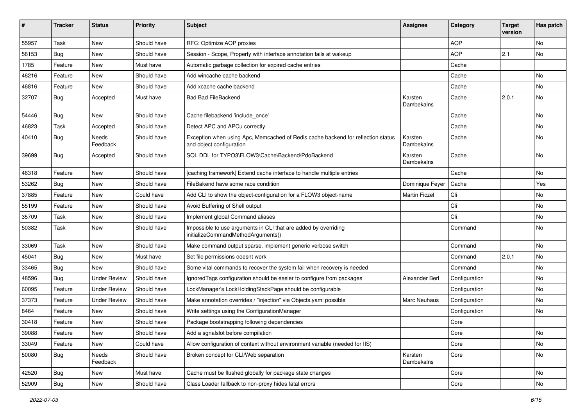| ∦     | <b>Tracker</b> | <b>Status</b>       | <b>Priority</b> | <b>Subject</b>                                                                                               | <b>Assignee</b>       | Category      | <b>Target</b><br>version | Has patch |
|-------|----------------|---------------------|-----------------|--------------------------------------------------------------------------------------------------------------|-----------------------|---------------|--------------------------|-----------|
| 55957 | Task           | New                 | Should have     | RFC: Optimize AOP proxies                                                                                    |                       | <b>AOP</b>    |                          | No        |
| 58153 | <b>Bug</b>     | <b>New</b>          | Should have     | Session - Scope, Property with interface annotation fails at wakeup                                          |                       | <b>AOP</b>    | 2.1                      | No        |
| 1785  | Feature        | New                 | Must have       | Automatic garbage collection for expired cache entries                                                       |                       | Cache         |                          |           |
| 46216 | Feature        | <b>New</b>          | Should have     | Add wincache cache backend                                                                                   |                       | Cache         |                          | No        |
| 46816 | Feature        | New                 | Should have     | Add xcache cache backend                                                                                     |                       | Cache         |                          | No        |
| 32707 | <b>Bug</b>     | Accepted            | Must have       | <b>Bad Bad FileBackend</b>                                                                                   | Karsten<br>Dambekalns | Cache         | 2.0.1                    | No        |
| 54446 | <b>Bug</b>     | <b>New</b>          | Should have     | Cache filebackend 'include once'                                                                             |                       | Cache         |                          | <b>No</b> |
| 46823 | Task           | Accepted            | Should have     | Detect APC and APCu correctly                                                                                |                       | Cache         |                          | No        |
| 40410 | <b>Bug</b>     | Needs<br>Feedback   | Should have     | Exception when using Apc, Memcached of Redis cache backend for reflection status<br>and object configuration | Karsten<br>Dambekalns | Cache         |                          | No        |
| 39699 | <b>Bug</b>     | Accepted            | Should have     | SQL DDL for TYPO3\FLOW3\Cache\Backend\PdoBackend                                                             | Karsten<br>Dambekalns | Cache         |                          | <b>No</b> |
| 46318 | Feature        | New                 | Should have     | [caching framework] Extend cache interface to handle multiple entries                                        |                       | Cache         |                          | No        |
| 53262 | <b>Bug</b>     | New                 | Should have     | FileBakend have some race condition                                                                          | Dominique Feyer       | Cache         |                          | Yes       |
| 37885 | Feature        | New                 | Could have      | Add CLI to show the object-configuration for a FLOW3 object-name                                             | <b>Martin Ficzel</b>  | Cli           |                          | No        |
| 55199 | Feature        | New                 | Should have     | Avoid Buffering of Shell output                                                                              |                       | Cli           |                          | No        |
| 35709 | Task           | New                 | Should have     | Implement global Command aliases                                                                             |                       | Cli           |                          | No        |
| 50382 | Task           | New                 | Should have     | Impossible to use arguments in CLI that are added by overriding<br>initializeCommandMethodArguments()        |                       | Command       |                          | No        |
| 33069 | Task           | New                 | Should have     | Make command output sparse, implement generic verbose switch                                                 |                       | Command       |                          | No        |
| 45041 | Bug            | <b>New</b>          | Must have       | Set file permissions doesnt work                                                                             |                       | Command       | 2.0.1                    | <b>No</b> |
| 33465 | <b>Bug</b>     | New                 | Should have     | Some vital commands to recover the system fail when recovery is needed                                       |                       | Command       |                          | No        |
| 48596 | <b>Bug</b>     | <b>Under Review</b> | Should have     | IgnoredTags configuration should be easier to configure from packages                                        | Alexander Berl        | Configuration |                          | No        |
| 60095 | Feature        | <b>Under Review</b> | Should have     | LockManager's LockHoldingStackPage should be configurable                                                    |                       | Configuration |                          | No        |
| 37373 | Feature        | <b>Under Review</b> | Should have     | Make annotation overrides / "injection" via Objects.yaml possible                                            | <b>Marc Neuhaus</b>   | Configuration |                          | No        |
| 8464  | Feature        | New                 | Should have     | Write settings using the ConfigurationManager                                                                |                       | Configuration |                          | No        |
| 30418 | Feature        | New                 | Should have     | Package bootstrapping following dependencies                                                                 |                       | Core          |                          |           |
| 39088 | Feature        | New                 | Should have     | Add a sgnalslot before compilation                                                                           |                       | Core          |                          | No.       |
| 33049 | Feature        | New                 | Could have      | Allow configuration of context without environment variable (needed for IIS)                                 |                       | Core          |                          | No        |
| 50080 | Bug            | Needs<br>Feedback   | Should have     | Broken concept for CLI/Web separation                                                                        | Karsten<br>Dambekalns | Core          |                          | No        |
| 42520 | Bug            | New                 | Must have       | Cache must be flushed globally for package state changes                                                     |                       | Core          |                          | No        |
| 52909 | Bug            | New                 | Should have     | Class Loader fallback to non-proxy hides fatal errors                                                        |                       | Core          |                          | No        |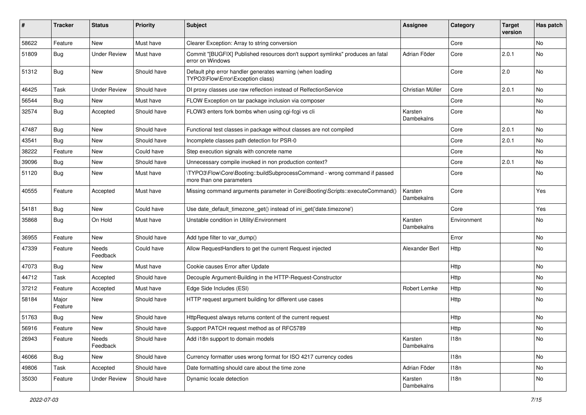| #     | <b>Tracker</b>   | <b>Status</b>       | <b>Priority</b> | Subject                                                                                                | <b>Assignee</b>       | Category    | <b>Target</b><br>version | Has patch |
|-------|------------------|---------------------|-----------------|--------------------------------------------------------------------------------------------------------|-----------------------|-------------|--------------------------|-----------|
| 58622 | Feature          | New                 | Must have       | Clearer Exception: Array to string conversion                                                          |                       | Core        |                          | No        |
| 51809 | <b>Bug</b>       | <b>Under Review</b> | Must have       | Commit "[BUGFIX] Published resources don't support symlinks" produces an fatal<br>error on Windows     | Adrian Föder          | Core        | 2.0.1                    | No        |
| 51312 | <b>Bug</b>       | New                 | Should have     | Default php error handler generates warning (when loading<br>TYPO3\Flow\Error\Exception class)         |                       | Core        | 2.0                      | <b>No</b> |
| 46425 | Task             | <b>Under Review</b> | Should have     | DI proxy classes use raw reflection instead of RelfectionService                                       | Christian Müller      | Core        | 2.0.1                    | <b>No</b> |
| 56544 | <b>Bug</b>       | New                 | Must have       | FLOW Exception on tar package inclusion via composer                                                   |                       | Core        |                          | No        |
| 32574 | <b>Bug</b>       | Accepted            | Should have     | FLOW3 enters fork bombs when using cgi-fcgi vs cli                                                     | Karsten<br>Dambekalns | Core        |                          | No        |
| 47487 | <b>Bug</b>       | New                 | Should have     | Functional test classes in package without classes are not compiled                                    |                       | Core        | 2.0.1                    | <b>No</b> |
| 43541 | Bug              | New                 | Should have     | Incomplete classes path detection for PSR-0                                                            |                       | Core        | 2.0.1                    | No        |
| 38222 | Feature          | New                 | Could have      | Step execution signals with concrete name                                                              |                       | Core        |                          | No        |
| 39096 | <b>Bug</b>       | New                 | Should have     | Unnecessary compile invoked in non production context?                                                 |                       | Core        | 2.0.1                    | No        |
| 51120 | <b>Bug</b>       | New                 | Must have       | \TYPO3\Flow\Core\Booting::buildSubprocessCommand - wrong command if passed<br>more than one parameters |                       | Core        |                          | No        |
| 40555 | Feature          | Accepted            | Must have       | Missing command arguments parameter in Core\Booting\Scripts::executeCommand()                          | Karsten<br>Dambekalns | Core        |                          | Yes       |
| 54181 | <b>Bug</b>       | New                 | Could have      | Use date_default_timezone_get() instead of ini_get('date.timezone')                                    |                       | Core        |                          | Yes       |
| 35868 | Bug              | On Hold             | Must have       | Unstable condition in Utility\Environment                                                              | Karsten<br>Dambekalns | Environment |                          | No        |
| 36955 | Feature          | New                 | Should have     | Add type filter to var dump()                                                                          |                       | Error       |                          | <b>No</b> |
| 47339 | Feature          | Needs<br>Feedback   | Could have      | Allow RequestHandlers to get the current Request injected                                              | Alexander Berl        | Http        |                          | No        |
| 47073 | <b>Bug</b>       | New                 | Must have       | Cookie causes Error after Update                                                                       |                       | Http        |                          | No        |
| 44712 | Task             | Accepted            | Should have     | Decouple Argument-Building in the HTTP-Request-Constructor                                             |                       | Http        |                          | <b>No</b> |
| 37212 | Feature          | Accepted            | Must have       | Edge Side Includes (ESI)                                                                               | Robert Lemke          | Http        |                          | No        |
| 58184 | Major<br>Feature | New                 | Should have     | HTTP request argument building for different use cases                                                 |                       | Http        |                          | No        |
| 51763 | Bug              | New                 | Should have     | HttpRequest always returns content of the current request                                              |                       | Http        |                          | No        |
| 56916 | Feature          | New                 | Should have     | Support PATCH request method as of RFC5789                                                             |                       | Http        |                          | No        |
| 26943 | Feature          | Needs<br>Feedback   | Should have     | Add i18n support to domain models                                                                      | Karsten<br>Dambekalns | 118n        |                          | No        |
| 46066 | Bug              | New                 | Should have     | Currency formatter uses wrong format for ISO 4217 currency codes                                       |                       | 118n        |                          | No        |
| 49806 | Task             | Accepted            | Should have     | Date formatting should care about the time zone                                                        | Adrian Föder          | 118n        |                          | No        |
| 35030 | Feature          | <b>Under Review</b> | Should have     | Dynamic locale detection                                                                               | Karsten<br>Dambekalns | 118n        |                          | No        |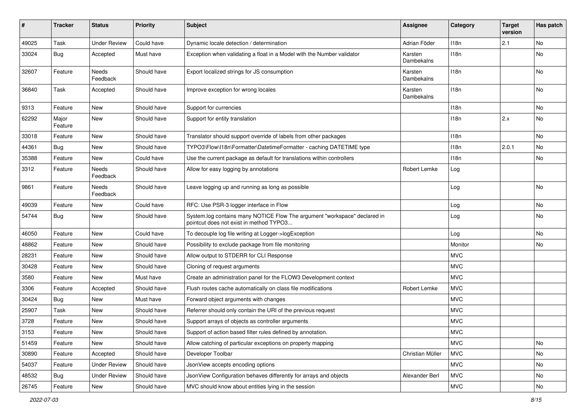| #     | <b>Tracker</b>   | <b>Status</b>            | <b>Priority</b> | <b>Subject</b>                                                                                                       | <b>Assignee</b>       | Category   | <b>Target</b><br>version | Has patch |
|-------|------------------|--------------------------|-----------------|----------------------------------------------------------------------------------------------------------------------|-----------------------|------------|--------------------------|-----------|
| 49025 | Task             | <b>Under Review</b>      | Could have      | Dynamic locale detection / determination                                                                             | Adrian Föder          | 118n       | 2.1                      | No        |
| 33024 | Bug              | Accepted                 | Must have       | Exception when validating a float in a Model with the Number validator                                               | Karsten<br>Dambekalns | 118n       |                          | No        |
| 32607 | Feature          | Needs<br>Feedback        | Should have     | Export localized strings for JS consumption                                                                          | Karsten<br>Dambekalns | 118n       |                          | No        |
| 36840 | Task             | Accepted                 | Should have     | Improve exception for wrong locales                                                                                  | Karsten<br>Dambekalns | 118n       |                          | No        |
| 9313  | Feature          | <b>New</b>               | Should have     | Support for currencies                                                                                               |                       | 118n       |                          | No        |
| 62292 | Major<br>Feature | New                      | Should have     | Support for entity translation                                                                                       |                       | 118n       | 2.x                      | No        |
| 33018 | Feature          | New                      | Should have     | Translator should support override of labels from other packages                                                     |                       | 118n       |                          | No.       |
| 44361 | Bug              | New                      | Should have     | TYPO3\Flow\I18n\Formatter\DatetimeFormatter - caching DATETIME type                                                  |                       | 118n       | 2.0.1                    | No        |
| 35388 | Feature          | New                      | Could have      | Use the current package as default for translations within controllers                                               |                       | 118n       |                          | No        |
| 3312  | Feature          | <b>Needs</b><br>Feedback | Should have     | Allow for easy logging by annotations                                                                                | Robert Lemke          | Log        |                          |           |
| 9861  | Feature          | Needs<br>Feedback        | Should have     | Leave logging up and running as long as possible                                                                     |                       | Log        |                          | No        |
| 49039 | Feature          | New                      | Could have      | RFC: Use PSR-3 logger interface in Flow                                                                              |                       | Log        |                          | No        |
| 54744 | Bug              | New                      | Should have     | System.log contains many NOTICE Flow The argument "workspace" declared in<br>pointcut does not exist in method TYPO3 |                       | Log        |                          | No        |
| 46050 | Feature          | New                      | Could have      | To decouple log file writing at Logger->logException                                                                 |                       | Log        |                          | No        |
| 48862 | Feature          | New                      | Should have     | Possibility to exclude package from file monitoring                                                                  |                       | Monitor    |                          | No        |
| 28231 | Feature          | New                      | Should have     | Allow output to STDERR for CLI Response                                                                              |                       | <b>MVC</b> |                          |           |
| 30428 | Feature          | New                      | Should have     | Cloning of request arguments                                                                                         |                       | <b>MVC</b> |                          |           |
| 3580  | Feature          | New                      | Must have       | Create an administration panel for the FLOW3 Development context                                                     |                       | <b>MVC</b> |                          |           |
| 3306  | Feature          | Accepted                 | Should have     | Flush routes cache automatically on class file modifications                                                         | Robert Lemke          | <b>MVC</b> |                          |           |
| 30424 | Bug              | New                      | Must have       | Forward object arguments with changes                                                                                |                       | <b>MVC</b> |                          |           |
| 25907 | Task             | New                      | Should have     | Referrer should only contain the URI of the previous request                                                         |                       | <b>MVC</b> |                          |           |
| 3728  | Feature          | New                      | Should have     | Support arrays of objects as controller arguments                                                                    |                       | <b>MVC</b> |                          |           |
| 3153  | Feature          | New                      | Should have     | Support of action based filter rules defined by annotation.                                                          |                       | <b>MVC</b> |                          |           |
| 51459 | Feature          | New                      | Should have     | Allow catching of particular exceptions on property mapping                                                          |                       | <b>MVC</b> |                          | No        |
| 30890 | Feature          | Accepted                 | Should have     | Developer Toolbar                                                                                                    | Christian Müller      | <b>MVC</b> |                          | No        |
| 54037 | Feature          | <b>Under Review</b>      | Should have     | JsonView accepts encoding options                                                                                    |                       | <b>MVC</b> |                          | No        |
| 48532 | Bug              | <b>Under Review</b>      | Should have     | JsonView Configuration behaves differently for arrays and objects                                                    | Alexander Berl        | <b>MVC</b> |                          | No        |
| 26745 | Feature          | New                      | Should have     | MVC should know about entities lying in the session                                                                  |                       | <b>MVC</b> |                          | No        |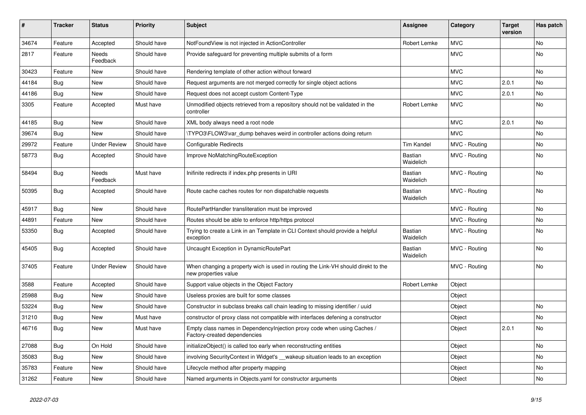| ∦     | <b>Tracker</b> | <b>Status</b>            | <b>Priority</b> | <b>Subject</b>                                                                                            | <b>Assignee</b>      | Category      | <b>Target</b><br>version | Has patch |
|-------|----------------|--------------------------|-----------------|-----------------------------------------------------------------------------------------------------------|----------------------|---------------|--------------------------|-----------|
| 34674 | Feature        | Accepted                 | Should have     | NotFoundView is not injected in ActionController                                                          | Robert Lemke         | <b>MVC</b>    |                          | <b>No</b> |
| 2817  | Feature        | Needs<br>Feedback        | Should have     | Provide safeguard for preventing multiple submits of a form                                               |                      | <b>MVC</b>    |                          | <b>No</b> |
| 30423 | Feature        | <b>New</b>               | Should have     | Rendering template of other action without forward                                                        |                      | <b>MVC</b>    |                          | No        |
| 44184 | Bug            | <b>New</b>               | Should have     | Request arguments are not merged correctly for single object actions                                      |                      | <b>MVC</b>    | 2.0.1                    | No        |
| 44186 | Bug            | <b>New</b>               | Should have     | Request does not accept custom Content-Type                                                               |                      | <b>MVC</b>    | 2.0.1                    | No        |
| 3305  | Feature        | Accepted                 | Must have       | Unmodified objects retrieved from a repository should not be validated in the<br>controller               | Robert Lemke         | <b>MVC</b>    |                          | No        |
| 44185 | Bug            | New                      | Should have     | XML body always need a root node                                                                          |                      | <b>MVC</b>    | 2.0.1                    | No        |
| 39674 | <b>Bug</b>     | <b>New</b>               | Should have     | TYPO3\FLOW3\var dump behaves weird in controller actions doing return                                     |                      | <b>MVC</b>    |                          | <b>No</b> |
| 29972 | Feature        | <b>Under Review</b>      | Should have     | Configurable Redirects                                                                                    | <b>Tim Kandel</b>    | MVC - Routing |                          | <b>No</b> |
| 58773 | <b>Bug</b>     | Accepted                 | Should have     | Improve NoMatchingRouteException                                                                          | Bastian<br>Waidelich | MVC - Routing |                          | <b>No</b> |
| 58494 | <b>Bug</b>     | <b>Needs</b><br>Feedback | Must have       | Inifinite redirects if index.php presents in URI                                                          | Bastian<br>Waidelich | MVC - Routing |                          | <b>No</b> |
| 50395 | <b>Bug</b>     | Accepted                 | Should have     | Route cache caches routes for non dispatchable requests                                                   | Bastian<br>Waidelich | MVC - Routing |                          | No        |
| 45917 | Bug            | <b>New</b>               | Should have     | RoutePartHandler transliteration must be improved                                                         |                      | MVC - Routing |                          | <b>No</b> |
| 44891 | Feature        | <b>New</b>               | Should have     | Routes should be able to enforce http/https protocol                                                      |                      | MVC - Routing |                          | <b>No</b> |
| 53350 | <b>Bug</b>     | Accepted                 | Should have     | Trying to create a Link in an Template in CLI Context should provide a helpful<br>exception               | Bastian<br>Waidelich | MVC - Routing |                          | No        |
| 45405 | Bug            | Accepted                 | Should have     | Uncaught Exception in DynamicRoutePart                                                                    | Bastian<br>Waidelich | MVC - Routing |                          | No        |
| 37405 | Feature        | <b>Under Review</b>      | Should have     | When changing a property wich is used in routing the Link-VH should direkt to the<br>new properties value |                      | MVC - Routing |                          | No        |
| 3588  | Feature        | Accepted                 | Should have     | Support value objects in the Object Factory                                                               | Robert Lemke         | Object        |                          |           |
| 25988 | Bug            | <b>New</b>               | Should have     | Useless proxies are built for some classes                                                                |                      | Object        |                          |           |
| 53224 | Bug            | <b>New</b>               | Should have     | Constructor in subclass breaks call chain leading to missing identifier / uuid                            |                      | Object        |                          | <b>No</b> |
| 31210 | <b>Bug</b>     | <b>New</b>               | Must have       | constructor of proxy class not compatible with interfaces defening a constructor                          |                      | Object        |                          | <b>No</b> |
| 46716 | <b>Bug</b>     | New                      | Must have       | Empty class names in Dependencylnjection proxy code when using Caches /<br>Factory-created dependencies   |                      | Object        | 2.0.1                    | <b>No</b> |
| 27088 | Bug            | On Hold                  | Should have     | initializeObject() is called too early when reconstructing entities                                       |                      | Object        |                          | No        |
| 35083 | <b>Bug</b>     | <b>New</b>               | Should have     | involving SecurityContext in Widget's wakeup situation leads to an exception                              |                      | Object        |                          | No        |
| 35783 | Feature        | <b>New</b>               | Should have     | Lifecycle method after property mapping                                                                   |                      | Object        |                          | No        |
| 31262 | Feature        | <b>New</b>               | Should have     | Named arguments in Objects yaml for constructor arguments                                                 |                      | Object        |                          | No        |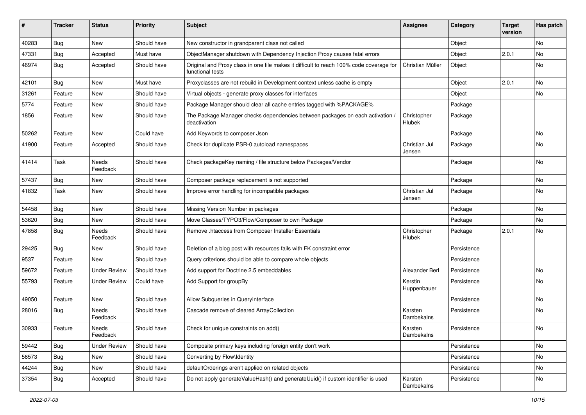| #     | <b>Tracker</b> | <b>Status</b>            | <b>Priority</b> | <b>Subject</b>                                                                                              | <b>Assignee</b>         | Category    | <b>Target</b><br>version | Has patch |
|-------|----------------|--------------------------|-----------------|-------------------------------------------------------------------------------------------------------------|-------------------------|-------------|--------------------------|-----------|
| 40283 | Bug            | New                      | Should have     | New constructor in grandparent class not called                                                             |                         | Object      |                          | <b>No</b> |
| 47331 | Bug            | Accepted                 | Must have       | ObjectManager shutdown with Dependency Injection Proxy causes fatal errors                                  |                         | Object      | 2.0.1                    | No        |
| 46974 | Bug            | Accepted                 | Should have     | Original and Proxy class in one file makes it difficult to reach 100% code coverage for<br>functional tests | Christian Müller        | Object      |                          | No        |
| 42101 | Bug            | <b>New</b>               | Must have       | Proxyclasses are not rebuild in Development context unless cache is empty                                   |                         | Object      | 2.0.1                    | <b>No</b> |
| 31261 | Feature        | New                      | Should have     | Virtual objects - generate proxy classes for interfaces                                                     |                         | Object      |                          | <b>No</b> |
| 5774  | Feature        | New                      | Should have     | Package Manager should clear all cache entries tagged with %PACKAGE%                                        |                         | Package     |                          |           |
| 1856  | Feature        | New                      | Should have     | The Package Manager checks dependencies between packages on each activation /<br>deactivation               | Christopher<br>Hlubek   | Package     |                          |           |
| 50262 | Feature        | New                      | Could have      | Add Keywords to composer Json                                                                               |                         | Package     |                          | <b>No</b> |
| 41900 | Feature        | Accepted                 | Should have     | Check for duplicate PSR-0 autoload namespaces                                                               | Christian Jul<br>Jensen | Package     |                          | No        |
| 41414 | Task           | Needs<br>Feedback        | Should have     | Check packageKey naming / file structure below Packages/Vendor                                              |                         | Package     |                          | No        |
| 57437 | Bug            | <b>New</b>               | Should have     | Composer package replacement is not supported                                                               |                         | Package     |                          | No        |
| 41832 | Task           | New                      | Should have     | Improve error handling for incompatible packages                                                            | Christian Jul<br>Jensen | Package     |                          | No        |
| 54458 | Bug            | New                      | Should have     | Missing Version Number in packages                                                                          |                         | Package     |                          | No        |
| 53620 | Bug            | New                      | Should have     | Move Classes/TYPO3/Flow/Composer to own Package                                                             |                         | Package     |                          | No        |
| 47858 | Bug            | Needs<br>Feedback        | Should have     | Remove .htaccess from Composer Installer Essentials                                                         | Christopher<br>Hlubek   | Package     | 2.0.1                    | No        |
| 29425 | Bug            | New                      | Should have     | Deletion of a blog post with resources fails with FK constraint error                                       |                         | Persistence |                          |           |
| 9537  | Feature        | New                      | Should have     | Query criterions should be able to compare whole objects                                                    |                         | Persistence |                          |           |
| 59672 | Feature        | <b>Under Review</b>      | Should have     | Add support for Doctrine 2.5 embeddables                                                                    | Alexander Berl          | Persistence |                          | No        |
| 55793 | Feature        | <b>Under Review</b>      | Could have      | Add Support for groupBy                                                                                     | Kerstin<br>Huppenbauer  | Persistence |                          | No        |
| 49050 | Feature        | New                      | Should have     | Allow Subqueries in QueryInterface                                                                          |                         | Persistence |                          | <b>No</b> |
| 28016 | <b>Bug</b>     | <b>Needs</b><br>Feedback | Should have     | Cascade remove of cleared ArrayCollection                                                                   | Karsten<br>Dambekalns   | Persistence |                          | No        |
| 30933 | Feature        | Needs<br>Feedback        | Should have     | Check for unique constraints on add()                                                                       | Karsten<br>Dambekalns   | Persistence |                          | No        |
| 59442 | <b>Bug</b>     | <b>Under Review</b>      | Should have     | Composite primary keys including foreign entity don't work                                                  |                         | Persistence |                          | No        |
| 56573 | Bug            | New                      | Should have     | Converting by Flow\Identity                                                                                 |                         | Persistence |                          | No        |
| 44244 | <b>Bug</b>     | New                      | Should have     | defaultOrderings aren't applied on related objects                                                          |                         | Persistence |                          | No        |
| 37354 | <b>Bug</b>     | Accepted                 | Should have     | Do not apply generateValueHash() and generateUuid() if custom identifier is used                            | Karsten<br>Dambekalns   | Persistence |                          | No        |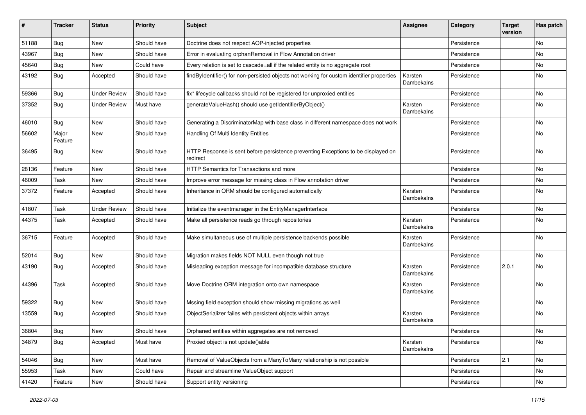| #     | <b>Tracker</b>   | <b>Status</b>       | <b>Priority</b> | Subject                                                                                       | <b>Assignee</b>              | Category    | <b>Target</b><br>version | Has patch |
|-------|------------------|---------------------|-----------------|-----------------------------------------------------------------------------------------------|------------------------------|-------------|--------------------------|-----------|
| 51188 | Bug              | New                 | Should have     | Doctrine does not respect AOP-injected properties                                             |                              | Persistence |                          | No        |
| 43967 | <b>Bug</b>       | New                 | Should have     | Error in evaluating orphanRemoval in Flow Annotation driver                                   |                              | Persistence |                          | No        |
| 45640 | <b>Bug</b>       | New                 | Could have      | Every relation is set to cascade=all if the related entity is no aggregate root               |                              | Persistence |                          | No        |
| 43192 | <b>Bug</b>       | Accepted            | Should have     | findByIdentifier() for non-persisted objects not working for custom identifier properties     | Karsten<br>Dambekalns        | Persistence |                          | No        |
| 59366 | <b>Bug</b>       | <b>Under Review</b> | Should have     | fix* lifecycle callbacks should not be registered for unproxied entities                      |                              | Persistence |                          | <b>No</b> |
| 37352 | <b>Bug</b>       | <b>Under Review</b> | Must have       | generateValueHash() should use getIdentifierByObject()                                        | Karsten<br>Dambekalns        | Persistence |                          | No        |
| 46010 | <b>Bug</b>       | New                 | Should have     | Generating a DiscriminatorMap with base class in different namespace does not work            |                              | Persistence |                          | No        |
| 56602 | Major<br>Feature | New                 | Should have     | Handling Of Multi Identity Entities                                                           |                              | Persistence |                          | No        |
| 36495 | Bug              | New                 | Should have     | HTTP Response is sent before persistence preventing Exceptions to be displayed on<br>redirect |                              | Persistence |                          | No        |
| 28136 | Feature          | New                 | Should have     | HTTP Semantics for Transactions and more                                                      |                              | Persistence |                          | No        |
| 46009 | Task             | New                 | Should have     | Improve error message for missing class in Flow annotation driver                             |                              | Persistence |                          | No        |
| 37372 | Feature          | Accepted            | Should have     | Inheritance in ORM should be configured automatically                                         | Karsten<br>Dambekalns        | Persistence |                          | No        |
| 41807 | Task             | <b>Under Review</b> | Should have     | Initialize the eventmanager in the EntityManagerInterface                                     |                              | Persistence |                          | No        |
| 44375 | Task             | Accepted            | Should have     | Make all persistence reads go through repositories                                            | Karsten<br>Dambekalns        | Persistence |                          | No        |
| 36715 | Feature          | Accepted            | Should have     | Make simultaneous use of multiple persistence backends possible                               | Karsten<br>Dambekalns        | Persistence |                          | No        |
| 52014 | Bug              | New                 | Should have     | Migration makes fields NOT NULL even though not true                                          |                              | Persistence |                          | No        |
| 43190 | Bug              | Accepted            | Should have     | Misleading exception message for incompatible database structure                              | Karsten<br>Dambekalns        | Persistence | 2.0.1                    | No        |
| 44396 | Task             | Accepted            | Should have     | Move Doctrine ORM integration onto own namespace                                              | Karsten<br>Dambekalns        | Persistence |                          | No        |
| 59322 | <b>Bug</b>       | New                 | Should have     | Mssing field exception should show missing migrations as well                                 |                              | Persistence |                          | No        |
| 13559 | <b>Bug</b>       | Accepted            | Should have     | ObjectSerializer failes with persistent objects within arrays                                 | Karsten<br>Dambekalns        | Persistence |                          | No        |
| 36804 | Bug              | New                 | Should have     | Orphaned entities within aggregates are not removed                                           |                              | Persistence |                          | No        |
| 34879 | Bug              | Accepted            | Must have       | Proxied object is not update()able                                                            | Karsten<br><b>Dambekalns</b> | Persistence |                          | No        |
| 54046 | Bug              | New                 | Must have       | Removal of ValueObjects from a ManyToMany relationship is not possible                        |                              | Persistence | 2.1                      | No        |
| 55953 | Task             | New                 | Could have      | Repair and streamline ValueObject support                                                     |                              | Persistence |                          | No        |
| 41420 | Feature          | New                 | Should have     | Support entity versioning                                                                     |                              | Persistence |                          | No        |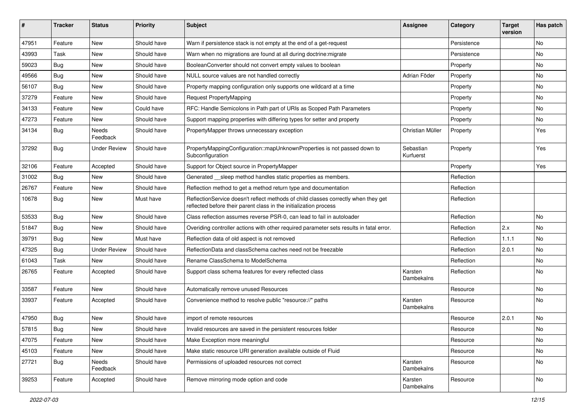| ∦     | <b>Tracker</b> | <b>Status</b>       | <b>Priority</b> | <b>Subject</b>                                                                                                                                          | <b>Assignee</b>        | Category    | <b>Target</b><br>version | Has patch |
|-------|----------------|---------------------|-----------------|---------------------------------------------------------------------------------------------------------------------------------------------------------|------------------------|-------------|--------------------------|-----------|
| 47951 | Feature        | <b>New</b>          | Should have     | Warn if persistence stack is not empty at the end of a get-request                                                                                      |                        | Persistence |                          | No        |
| 43993 | Task           | <b>New</b>          | Should have     | Warn when no migrations are found at all during doctrine: migrate                                                                                       |                        | Persistence |                          | No        |
| 59023 | <b>Bug</b>     | New                 | Should have     | BooleanConverter should not convert empty values to boolean                                                                                             |                        | Property    |                          | No        |
| 49566 | <b>Bug</b>     | <b>New</b>          | Should have     | NULL source values are not handled correctly                                                                                                            | Adrian Föder           | Property    |                          | No        |
| 56107 | <b>Bug</b>     | New                 | Should have     | Property mapping configuration only supports one wildcard at a time                                                                                     |                        | Property    |                          | No        |
| 37279 | Feature        | <b>New</b>          | Should have     | <b>Request PropertyMapping</b>                                                                                                                          |                        | Property    |                          | No        |
| 34133 | Feature        | New                 | Could have      | RFC: Handle Semicolons in Path part of URIs as Scoped Path Parameters                                                                                   |                        | Property    |                          | No        |
| 47273 | Feature        | New                 | Should have     | Support mapping properties with differing types for setter and property                                                                                 |                        | Property    |                          | No        |
| 34134 | Bug            | Needs<br>Feedback   | Should have     | PropertyMapper throws unnecessary exception                                                                                                             | Christian Müller       | Property    |                          | Yes       |
| 37292 | <b>Bug</b>     | <b>Under Review</b> | Should have     | PropertyMappingConfiguration::mapUnknownProperties is not passed down to<br>Subconfiguration                                                            | Sebastian<br>Kurfuerst | Property    |                          | Yes       |
| 32106 | Feature        | Accepted            | Should have     | Support for Object source in PropertyMapper                                                                                                             |                        | Property    |                          | Yes       |
| 31002 | Bug            | <b>New</b>          | Should have     | Generated __sleep method handles static properties as members.                                                                                          |                        | Reflection  |                          |           |
| 26767 | Feature        | New                 | Should have     | Reflection method to get a method return type and documentation                                                                                         |                        | Reflection  |                          |           |
| 10678 | <b>Bug</b>     | New                 | Must have       | ReflectionService doesn't reflect methods of child classes correctly when they get<br>reflected before their parent class in the initialization process |                        | Reflection  |                          |           |
| 53533 | Bug            | <b>New</b>          | Should have     | Class reflection assumes reverse PSR-0, can lead to fail in autoloader                                                                                  |                        | Reflection  |                          | No        |
| 51847 | <b>Bug</b>     | New                 | Should have     | Overiding controller actions with other required parameter sets results in fatal error.                                                                 |                        | Reflection  | 2.x                      | No        |
| 39791 | <b>Bug</b>     | <b>New</b>          | Must have       | Reflection data of old aspect is not removed                                                                                                            |                        | Reflection  | 1.1.1                    | No        |
| 47325 | <b>Bug</b>     | <b>Under Review</b> | Should have     | ReflectionData and classSchema caches need not be freezable                                                                                             |                        | Reflection  | 2.0.1                    | No        |
| 61043 | Task           | <b>New</b>          | Should have     | Rename ClassSchema to ModelSchema                                                                                                                       |                        | Reflection  |                          | No        |
| 26765 | Feature        | Accepted            | Should have     | Support class schema features for every reflected class                                                                                                 | Karsten<br>Dambekalns  | Reflection  |                          | No        |
| 33587 | Feature        | <b>New</b>          | Should have     | Automatically remove unused Resources                                                                                                                   |                        | Resource    |                          | No        |
| 33937 | Feature        | Accepted            | Should have     | Convenience method to resolve public "resource://" paths                                                                                                | Karsten<br>Dambekalns  | Resource    |                          | No        |
| 47950 | Bug            | <b>New</b>          | Should have     | import of remote resources                                                                                                                              |                        | Resource    | 2.0.1                    | No        |
| 57815 | Bug            | New                 | Should have     | Invalid resources are saved in the persistent resources folder                                                                                          |                        | Resource    |                          | No        |
| 47075 | Feature        | New                 | Should have     | Make Exception more meaningful                                                                                                                          |                        | Resource    |                          | No        |
| 45103 | Feature        | New                 | Should have     | Make static resource URI generation available outside of Fluid                                                                                          |                        | Resource    |                          | No        |
| 27721 | <b>Bug</b>     | Needs<br>Feedback   | Should have     | Permissions of uploaded resources not correct                                                                                                           | Karsten<br>Dambekalns  | Resource    |                          | No        |
| 39253 | Feature        | Accepted            | Should have     | Remove mirroring mode option and code                                                                                                                   | Karsten<br>Dambekalns  | Resource    |                          | No        |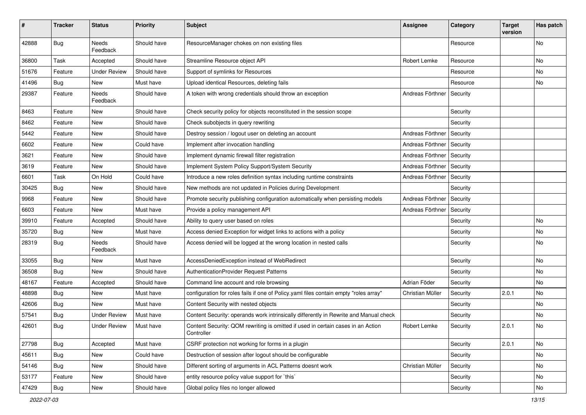| #     | <b>Tracker</b> | <b>Status</b>            | <b>Priority</b> | <b>Subject</b>                                                                                 | <b>Assignee</b>  | Category | <b>Target</b><br>version | Has patch |
|-------|----------------|--------------------------|-----------------|------------------------------------------------------------------------------------------------|------------------|----------|--------------------------|-----------|
| 42888 | <b>Bug</b>     | Needs<br>Feedback        | Should have     | ResourceManager chokes on non existing files                                                   |                  | Resource |                          | No        |
| 36800 | Task           | Accepted                 | Should have     | Streamline Resource object API                                                                 | Robert Lemke     | Resource |                          | No        |
| 51676 | Feature        | <b>Under Review</b>      | Should have     | Support of symlinks for Resources                                                              |                  | Resource |                          | No        |
| 41496 | Bug            | New                      | Must have       | Upload identical Resources, deleting fails                                                     |                  | Resource |                          | No        |
| 29387 | Feature        | <b>Needs</b><br>Feedback | Should have     | A token with wrong credentials should throw an exception                                       | Andreas Förthner | Security |                          |           |
| 8463  | Feature        | New                      | Should have     | Check security policy for objects reconstituted in the session scope                           |                  | Security |                          |           |
| 8462  | Feature        | New                      | Should have     | Check subobjects in query rewriting                                                            |                  | Security |                          |           |
| 5442  | Feature        | New                      | Should have     | Destroy session / logout user on deleting an account                                           | Andreas Förthner | Security |                          |           |
| 6602  | Feature        | New                      | Could have      | Implement after invocation handling                                                            | Andreas Förthner | Security |                          |           |
| 3621  | Feature        | New                      | Should have     | Implement dynamic firewall filter registration                                                 | Andreas Förthner | Security |                          |           |
| 3619  | Feature        | New                      | Should have     | Implement System Policy Support/System Security                                                | Andreas Förthner | Security |                          |           |
| 6601  | Task           | On Hold                  | Could have      | Introduce a new roles definition syntax including runtime constraints                          | Andreas Förthner | Security |                          |           |
| 30425 | <b>Bug</b>     | New                      | Should have     | New methods are not updated in Policies during Development                                     |                  | Security |                          |           |
| 9968  | Feature        | New                      | Should have     | Promote security publishing configuration automatically when persisting models                 | Andreas Förthner | Security |                          |           |
| 6603  | Feature        | New                      | Must have       | Provide a policy management API                                                                | Andreas Förthner | Security |                          |           |
| 39910 | Feature        | Accepted                 | Should have     | Ability to query user based on roles                                                           |                  | Security |                          | No        |
| 35720 | Bug            | New                      | Must have       | Access denied Exception for widget links to actions with a policy                              |                  | Security |                          | No        |
| 28319 | <b>Bug</b>     | Needs<br>Feedback        | Should have     | Access denied will be logged at the wrong location in nested calls                             |                  | Security |                          | No        |
| 33055 | Bug            | New                      | Must have       | AccessDeniedException instead of WebRedirect                                                   |                  | Security |                          | No        |
| 36508 | Bug            | New                      | Should have     | AuthenticationProvider Request Patterns                                                        |                  | Security |                          | No        |
| 48167 | Feature        | Accepted                 | Should have     | Command line account and role browsing                                                         | Adrian Föder     | Security |                          | No        |
| 48898 | Bug            | New                      | Must have       | configuration for roles fails if one of Policy yaml files contain empty "roles array"          | Christian Müller | Security | 2.0.1                    | No        |
| 42606 | <b>Bug</b>     | New                      | Must have       | Content Security with nested objects                                                           |                  | Security |                          | No        |
| 57541 | Bug            | <b>Under Review</b>      | Must have       | Content Security: operands work intrinsically differently in Rewrite and Manual check          |                  | Security |                          | No        |
| 42601 | <b>Bug</b>     | <b>Under Review</b>      | Must have       | Content Security: QOM rewriting is omitted if used in certain cases in an Action<br>Controller | Robert Lemke     | Security | 2.0.1                    | No        |
| 27798 | <b>Bug</b>     | Accepted                 | Must have       | CSRF protection not working for forms in a plugin                                              |                  | Security | 2.0.1                    | No        |
| 45611 | <b>Bug</b>     | New                      | Could have      | Destruction of session after logout should be configurable                                     |                  | Security |                          | No        |
| 54146 | Bug            | New                      | Should have     | Different sorting of arguments in ACL Patterns doesnt work                                     | Christian Müller | Security |                          | No        |
| 53177 | Feature        | New                      | Should have     | entity resource policy value support for `this`                                                |                  | Security |                          | No        |
| 47429 | Bug            | New                      | Should have     | Global policy files no longer allowed                                                          |                  | Security |                          | No        |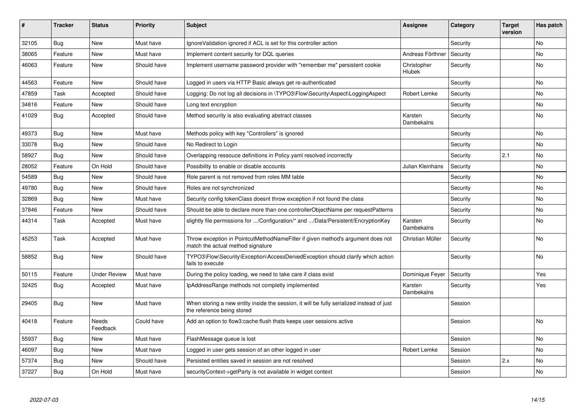| ∦     | <b>Tracker</b> | <b>Status</b>            | <b>Priority</b> | <b>Subject</b>                                                                                                          | <b>Assignee</b>              | Category | <b>Target</b><br>version | Has patch |
|-------|----------------|--------------------------|-----------------|-------------------------------------------------------------------------------------------------------------------------|------------------------------|----------|--------------------------|-----------|
| 32105 | Bug            | <b>New</b>               | Must have       | Ignore Validation ignored if ACL is set for this controller action                                                      |                              | Security |                          | <b>No</b> |
| 38065 | Feature        | <b>New</b>               | Must have       | Implement content security for DQL queries                                                                              | Andreas Förthner             | Security |                          | No        |
| 46063 | Feature        | New                      | Should have     | Implement username password provider with "remember me" persistent cookie                                               | Christopher<br>Hlubek        | Security |                          | No        |
| 44563 | Feature        | New                      | Should have     | Logged in users via HTTP Basic always get re-authenticated                                                              |                              | Security |                          | No        |
| 47859 | Task           | Accepted                 | Should have     | Logging: Do not log all decisions in \TYPO3\Flow\Security\Aspect\LoggingAspect                                          | Robert Lemke                 | Security |                          | No        |
| 34816 | Feature        | <b>New</b>               | Should have     | Long text encryption                                                                                                    |                              | Security |                          | No        |
| 41029 | <b>Bug</b>     | Accepted                 | Should have     | Method security is also evaluating abstract classes                                                                     | Karsten<br><b>Dambekalns</b> | Security |                          | <b>No</b> |
| 49373 | Bug            | <b>New</b>               | Must have       | Methods policy with key "Controllers" is ignored                                                                        |                              | Security |                          | <b>No</b> |
| 33078 | Bug            | <b>New</b>               | Should have     | No Redirect to Login                                                                                                    |                              | Security |                          | <b>No</b> |
| 58927 | <b>Bug</b>     | <b>New</b>               | Should have     | Overlapping ressouce definitions in Policy yaml resolved incorrectly                                                    |                              | Security | 2.1                      | No        |
| 28052 | Feature        | On Hold                  | Should have     | Possibility to enable or disable accounts                                                                               | Julian Kleinhans             | Security |                          | <b>No</b> |
| 54589 | <b>Bug</b>     | <b>New</b>               | Should have     | Role parent is not removed from roles MM table                                                                          |                              | Security |                          | <b>No</b> |
| 49780 | Bug            | <b>New</b>               | Should have     | Roles are not synchronized                                                                                              |                              | Security |                          | No        |
| 32869 | Bug            | <b>New</b>               | Must have       | Security config tokenClass doesnt throw exception if not found the class                                                |                              | Security |                          | No        |
| 37846 | Feature        | <b>New</b>               | Should have     | Should be able to declare more than one controllerObjectName per requestPatterns                                        |                              | Security |                          | No        |
| 44314 | Task           | Accepted                 | Must have       | slightly file permissions for /Configuration/* and /Data/Persistent/EncryptionKey                                       | Karsten<br>Dambekalns        | Security |                          | No        |
| 45253 | Task           | Accepted                 | Must have       | Throw exception in PointcutMethodNameFilter if given method's argument does not<br>match the actual method signature    | Christian Müller             | Security |                          | No        |
| 58852 | <b>Bug</b>     | <b>New</b>               | Should have     | TYPO3\Flow\Security\Exception\AccessDeniedException should clarify which action<br>fails to execute                     |                              | Security |                          | <b>No</b> |
| 50115 | Feature        | <b>Under Review</b>      | Must have       | During the policy loading, we need to take care if class exist                                                          | Dominique Feyer              | Security |                          | Yes       |
| 32425 | Bug            | Accepted                 | Must have       | IpAddressRange methods not completly implemented                                                                        | Karsten<br>Dambekalns        | Security |                          | Yes       |
| 29405 | Bug            | <b>New</b>               | Must have       | When storing a new entity inside the session, it will be fully serialized instead of just<br>the reference being stored |                              | Session  |                          |           |
| 40418 | Feature        | <b>Needs</b><br>Feedback | Could have      | Add an option to flow3: cache: flush thats keeps user sessions active                                                   |                              | Session  |                          | <b>No</b> |
| 55937 | Bug            | <b>New</b>               | Must have       | FlashMessage queue is lost                                                                                              |                              | Session  |                          | No        |
| 46097 | Bug            | <b>New</b>               | Must have       | Logged in user gets session of an other logged in user                                                                  | Robert Lemke                 | Session  |                          | <b>No</b> |
| 57374 | Bug            | <b>New</b>               | Should have     | Persisted entities saved in session are not resolved                                                                    |                              | Session  | 2.x                      | No        |
| 37227 | Bug            | On Hold                  | Must have       | securityContext->getParty is not available in widget context                                                            |                              | Session  |                          | <b>No</b> |